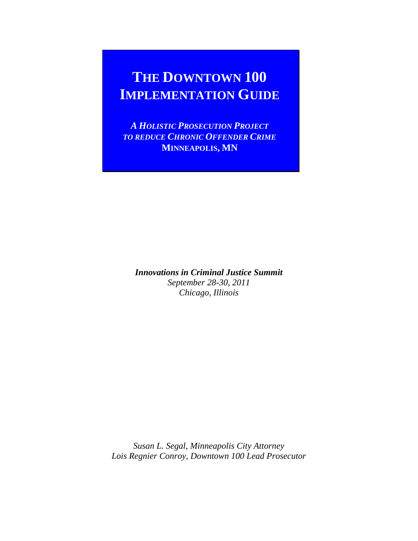# **THE DOWNTOWN 100 IMPLEMENTATION GUIDE**

*A HOLISTIC PROSECUTION PROJECT TO REDUCE CHRONIC OFFENDER CRIME* **MINNEAPOLIS, MN**

*Innovations in Criminal Justice Summit September 28-30, 2011 Chicago, Illinois*

*Susan L. Segal, Minneapolis City Attorney Lois Regnier Conroy, Downtown 100 Lead Prosecutor*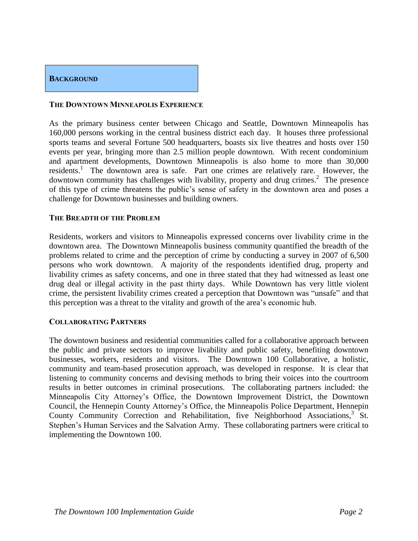# **BACKGROUND**

#### **THE DOWNTOWN MINNEAPOLIS EXPERIENCE**

As the primary business center between Chicago and Seattle, Downtown Minneapolis has 160,000 persons working in the central business district each day. It houses three professional sports teams and several Fortune 500 headquarters, boasts six live theatres and hosts over 150 events per year, bringing more than 2.5 million people downtown. With recent condominium and apartment developments, Downtown Minneapolis is also home to more than 30,000 residents.<sup>1</sup> The downtown area is safe. Part one crimes are relatively rare. However, the downtown community has challenges with livability, property and drug crimes.<sup>2</sup> The presence of this type of crime threatens the public's sense of safety in the downtown area and poses a challenge for Downtown businesses and building owners.

#### **THE BREADTH OF THE PROBLEM**

Residents, workers and visitors to Minneapolis expressed concerns over livability crime in the downtown area. The Downtown Minneapolis business community quantified the breadth of the problems related to crime and the perception of crime by conducting a survey in 2007 of 6,500 persons who work downtown. A majority of the respondents identified drug, property and livability crimes as safety concerns, and one in three stated that they had witnessed as least one drug deal or illegal activity in the past thirty days. While Downtown has very little violent crime, the persistent livability crimes created a perception that Downtown was "unsafe" and that this perception was a threat to the vitality and growth of the area's economic hub.

#### **COLLABORATING PARTNERS**

The downtown business and residential communities called for a collaborative approach between the public and private sectors to improve livability and public safety, benefiting downtown businesses, workers, residents and visitors. The Downtown 100 Collaborative, a holistic, community and team-based prosecution approach, was developed in response. It is clear that listening to community concerns and devising methods to bring their voices into the courtroom results in better outcomes in criminal prosecutions. The collaborating partners included: the Minneapolis City Attorney's Office, the Downtown Improvement District, the Downtown Council, the Hennepin County Attorney's Office, the Minneapolis Police Department, Hennepin County Community Correction and Rehabilitation, five Neighborhood Associations,<sup>3</sup> St. Stephen's Human Services and the Salvation Army. These collaborating partners were critical to implementing the Downtown 100.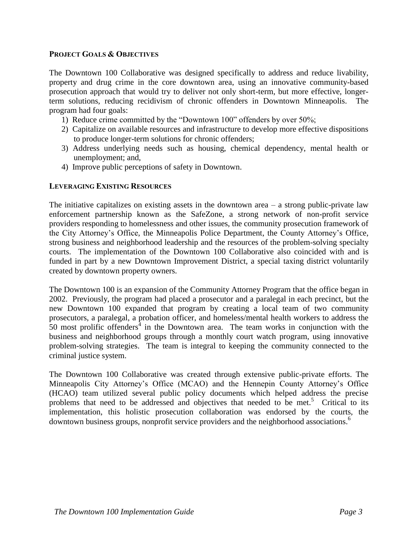#### **PROJECT GOALS & OBJECTIVES**

The Downtown 100 Collaborative was designed specifically to address and reduce livability, property and drug crime in the core downtown area, using an innovative community-based prosecution approach that would try to deliver not only short-term, but more effective, longerterm solutions, reducing recidivism of chronic offenders in Downtown Minneapolis. The program had four goals:

- 1) Reduce crime committed by the "Downtown 100" offenders by over 50%;
- 2) Capitalize on available resources and infrastructure to develop more effective dispositions to produce longer-term solutions for chronic offenders;
- 3) Address underlying needs such as housing, chemical dependency, mental health or unemployment; and,
- 4) Improve public perceptions of safety in Downtown.

#### **LEVERAGING EXISTING RESOURCES**

The initiative capitalizes on existing assets in the downtown area  $-$  a strong public-private law enforcement partnership known as the SafeZone, a strong network of non-profit service providers responding to homelessness and other issues, the community prosecution framework of the City Attorney's Office, the Minneapolis Police Department, the County Attorney's Office, strong business and neighborhood leadership and the resources of the problem-solving specialty courts. The implementation of the Downtown 100 Collaborative also coincided with and is funded in part by a new Downtown Improvement District, a special taxing district voluntarily created by downtown property owners.

The Downtown 100 is an expansion of the Community Attorney Program that the office began in 2002. Previously, the program had placed a prosecutor and a paralegal in each precinct, but the new Downtown 100 expanded that program by creating a local team of two community prosecutors, a paralegal, a probation officer, and homeless/mental health workers to address the  $\overline{50}$  most prolific offenders<sup>4</sup> in the Downtown area. The team works in conjunction with the business and neighborhood groups through a monthly court watch program, using innovative problem-solving strategies. The team is integral to keeping the community connected to the criminal justice system.

The Downtown 100 Collaborative was created through extensive public-private efforts. The Minneapolis City Attorney's Office (MCAO) and the Hennepin County Attorney's Office (HCAO) team utilized several public policy documents which helped address the precise problems that need to be addressed and objectives that needed to be met.<sup>5</sup> Critical to its implementation, this holistic prosecution collaboration was endorsed by the courts, the downtown business groups, nonprofit service providers and the neighborhood associations. 6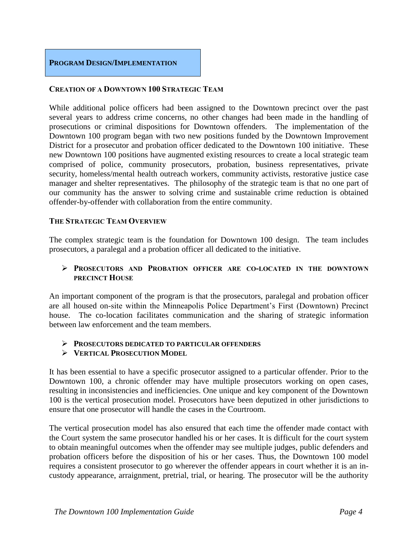

## **CREATION OF A DOWNTOWN 100 STRATEGIC TEAM**

While additional police officers had been assigned to the Downtown precinct over the past several years to address crime concerns, no other changes had been made in the handling of prosecutions or criminal dispositions for Downtown offenders. The implementation of the Downtown 100 program began with two new positions funded by the Downtown Improvement District for a prosecutor and probation officer dedicated to the Downtown 100 initiative. These new Downtown 100 positions have augmented existing resources to create a local strategic team comprised of police, community prosecutors, probation, business representatives, private security, homeless/mental health outreach workers, community activists, restorative justice case manager and shelter representatives. The philosophy of the strategic team is that no one part of our community has the answer to solving crime and sustainable crime reduction is obtained offender-by-offender with collaboration from the entire community.

#### **THE STRATEGIC TEAM OVERVIEW**

The complex strategic team is the foundation for Downtown 100 design. The team includes prosecutors, a paralegal and a probation officer all dedicated to the initiative.

#### **PROSECUTORS AND PROBATION OFFICER ARE CO-LOCATED IN THE DOWNTOWN PRECINCT HOUSE**

An important component of the program is that the prosecutors, paralegal and probation officer are all housed on-site within the Minneapolis Police Department's First (Downtown) Precinct house. The co-location facilitates communication and the sharing of strategic information between law enforcement and the team members.

#### **PROSECUTORS DEDICATED TO PARTICULAR OFFENDERS**

#### **VERTICAL PROSECUTION MODEL**

It has been essential to have a specific prosecutor assigned to a particular offender. Prior to the Downtown 100, a chronic offender may have multiple prosecutors working on open cases, resulting in inconsistencies and inefficiencies. One unique and key component of the Downtown 100 is the vertical prosecution model. Prosecutors have been deputized in other jurisdictions to ensure that one prosecutor will handle the cases in the Courtroom.

The vertical prosecution model has also ensured that each time the offender made contact with the Court system the same prosecutor handled his or her cases. It is difficult for the court system to obtain meaningful outcomes when the offender may see multiple judges, public defenders and probation officers before the disposition of his or her cases. Thus, the Downtown 100 model requires a consistent prosecutor to go wherever the offender appears in court whether it is an incustody appearance, arraignment, pretrial, trial, or hearing. The prosecutor will be the authority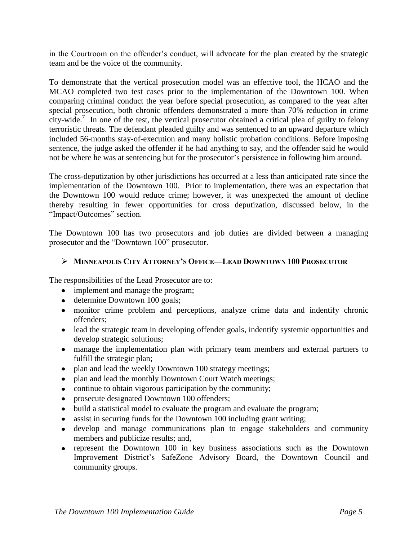in the Courtroom on the offender's conduct, will advocate for the plan created by the strategic team and be the voice of the community.

To demonstrate that the vertical prosecution model was an effective tool, the HCAO and the MCAO completed two test cases prior to the implementation of the Downtown 100. When comparing criminal conduct the year before special prosecution, as compared to the year after special prosecution, both chronic offenders demonstrated a more than 70% reduction in crime city-wide.<sup>7</sup> In one of the test, the vertical prosecutor obtained a critical plea of guilty to felony terroristic threats. The defendant pleaded guilty and was sentenced to an upward departure which included 56-months stay-of-execution and many holistic probation conditions. Before imposing sentence, the judge asked the offender if he had anything to say, and the offender said he would not be where he was at sentencing but for the prosecutor's persistence in following him around.

The cross-deputization by other jurisdictions has occurred at a less than anticipated rate since the implementation of the Downtown 100. Prior to implementation, there was an expectation that the Downtown 100 would reduce crime; however, it was unexpected the amount of decline thereby resulting in fewer opportunities for cross deputization, discussed below, in the "Impact/Outcomes" section.

The Downtown 100 has two prosecutors and job duties are divided between a managing prosecutor and the "Downtown 100" prosecutor.

# **MINNEAPOLIS CITY ATTORNEY'S OFFICE—LEAD DOWNTOWN 100 PROSECUTOR**

The responsibilities of the Lead Prosecutor are to:

- implement and manage the program;
- determine Downtown 100 goals;
- monitor crime problem and perceptions, analyze crime data and indentify chronic offenders;
- lead the strategic team in developing offender goals, indentify systemic opportunities and develop strategic solutions;
- manage the implementation plan with primary team members and external partners to fulfill the strategic plan;
- plan and lead the weekly Downtown 100 strategy meetings;
- plan and lead the monthly Downtown Court Watch meetings;
- continue to obtain vigorous participation by the community;
- prosecute designated Downtown 100 offenders;
- build a statistical model to evaluate the program and evaluate the program;
- assist in securing funds for the Downtown 100 including grant writing;
- develop and manage communications plan to engage stakeholders and community members and publicize results; and,
- represent the Downtown 100 in key business associations such as the Downtown Improvement District's SafeZone Advisory Board, the Downtown Council and community groups.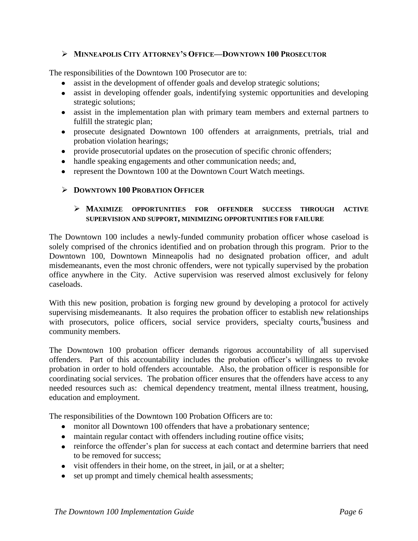## **MINNEAPOLIS CITY ATTORNEY'S OFFICE—DOWNTOWN 100 PROSECUTOR**

The responsibilities of the Downtown 100 Prosecutor are to:

- assist in the development of offender goals and develop strategic solutions;
- assist in developing offender goals, indentifying systemic opportunities and developing strategic solutions;
- assist in the implementation plan with primary team members and external partners to fulfill the strategic plan;
- prosecute designated Downtown 100 offenders at arraignments, pretrials, trial and probation violation hearings;
- provide prosecutorial updates on the prosecution of specific chronic offenders;
- handle speaking engagements and other communication needs; and,
- represent the Downtown 100 at the Downtown Court Watch meetings.

## **DOWNTOWN 100 PROBATION OFFICER**

# **MAXIMIZE OPPORTUNITIES FOR OFFENDER SUCCESS THROUGH ACTIVE SUPERVISION AND SUPPORT, MINIMIZING OPPORTUNITIES FOR FAILURE**

The Downtown 100 includes a newly-funded community probation officer whose caseload is solely comprised of the chronics identified and on probation through this program. Prior to the Downtown 100, Downtown Minneapolis had no designated probation officer, and adult misdemeanants, even the most chronic offenders, were not typically supervised by the probation office anywhere in the City. Active supervision was reserved almost exclusively for felony caseloads.

With this new position, probation is forging new ground by developing a protocol for actively supervising misdemeanants. It also requires the probation officer to establish new relationships with prosecutors, police officers, social service providers, specialty courts, <sup>8</sup>business and community members.

The Downtown 100 probation officer demands rigorous accountability of all supervised offenders. Part of this accountability includes the probation officer's willingness to revoke probation in order to hold offenders accountable. Also, the probation officer is responsible for coordinating social services. The probation officer ensures that the offenders have access to any needed resources such as: chemical dependency treatment, mental illness treatment, housing, education and employment.

The responsibilities of the Downtown 100 Probation Officers are to:

- monitor all Downtown 100 offenders that have a probationary sentence;
- maintain regular contact with offenders including routine office visits;
- reinforce the offender's plan for success at each contact and determine barriers that need to be removed for success;
- visit offenders in their home, on the street, in jail, or at a shelter;
- set up prompt and timely chemical health assessments;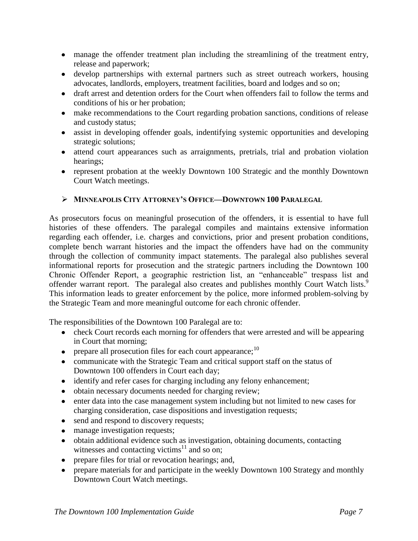- manage the offender treatment plan including the streamlining of the treatment entry, release and paperwork;
- develop partnerships with external partners such as street outreach workers, housing advocates, landlords, employers, treatment facilities, board and lodges and so on;
- draft arrest and detention orders for the Court when offenders fail to follow the terms and conditions of his or her probation;
- make recommendations to the Court regarding probation sanctions, conditions of release and custody status;
- assist in developing offender goals, indentifying systemic opportunities and developing strategic solutions;
- attend court appearances such as arraignments, pretrials, trial and probation violation hearings;
- represent probation at the weekly Downtown 100 Strategic and the monthly Downtown Court Watch meetings.

# **MINNEAPOLIS CITY ATTORNEY'S OFFICE—DOWNTOWN 100 PARALEGAL**

As prosecutors focus on meaningful prosecution of the offenders, it is essential to have full histories of these offenders. The paralegal compiles and maintains extensive information regarding each offender, i.e. charges and convictions, prior and present probation conditions, complete bench warrant histories and the impact the offenders have had on the community through the collection of community impact statements. The paralegal also publishes several informational reports for prosecution and the strategic partners including the Downtown 100 Chronic Offender Report, a geographic restriction list, an "enhanceable" trespass list and offender warrant report. The paralegal also creates and publishes monthly Court Watch lists.<sup>9</sup> This information leads to greater enforcement by the police, more informed problem-solving by the Strategic Team and more meaningful outcome for each chronic offender.

The responsibilities of the Downtown 100 Paralegal are to:

- check Court records each morning for offenders that were arrested and will be appearing in Court that morning;
- prepare all prosecution files for each court appearance;  $^{10}$
- communicate with the Strategic Team and critical support staff on the status of Downtown 100 offenders in Court each day;
- identify and refer cases for charging including any felony enhancement;
- obtain necessary documents needed for charging review;
- enter data into the case management system including but not limited to new cases for charging consideration, case dispositions and investigation requests;
- send and respond to discovery requests;
- manage investigation requests;
- obtain additional evidence such as investigation, obtaining documents, contacting witnesses and contacting victims<sup>11</sup> and so on;
- prepare files for trial or revocation hearings; and,
- prepare materials for and participate in the weekly Downtown 100 Strategy and monthly Downtown Court Watch meetings.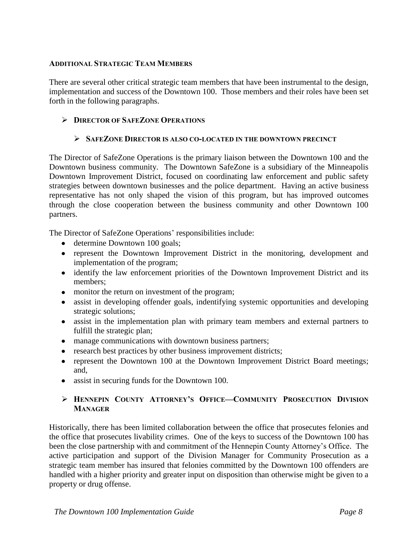# **ADDITIONAL STRATEGIC TEAM MEMBERS**

There are several other critical strategic team members that have been instrumental to the design, implementation and success of the Downtown 100. Those members and their roles have been set forth in the following paragraphs.

# **DIRECTOR OF SAFEZONE OPERATIONS**

# **SAFEZONE DIRECTOR IS ALSO CO-LOCATED IN THE DOWNTOWN PRECINCT**

The Director of SafeZone Operations is the primary liaison between the Downtown 100 and the Downtown business community. The Downtown SafeZone is a subsidiary of the Minneapolis Downtown Improvement District, focused on coordinating law enforcement and public safety strategies between downtown businesses and the police department. Having an active business representative has not only shaped the vision of this program, but has improved outcomes through the close cooperation between the business community and other Downtown 100 partners.

The Director of SafeZone Operations' responsibilities include:

- determine Downtown 100 goals;
- represent the Downtown Improvement District in the monitoring, development and implementation of the program;
- identify the law enforcement priorities of the Downtown Improvement District and its members;
- monitor the return on investment of the program;
- assist in developing offender goals, indentifying systemic opportunities and developing strategic solutions;
- assist in the implementation plan with primary team members and external partners to fulfill the strategic plan;
- manage communications with downtown business partners;
- research best practices by other business improvement districts;
- represent the Downtown 100 at the Downtown Improvement District Board meetings; and,
- assist in securing funds for the Downtown 100.

## **HENNEPIN COUNTY ATTORNEY'S OFFICE—COMMUNITY PROSECUTION DIVISION MANAGER**

Historically, there has been limited collaboration between the office that prosecutes felonies and the office that prosecutes livability crimes. One of the keys to success of the Downtown 100 has been the close partnership with and commitment of the Hennepin County Attorney's Office. The active participation and support of the Division Manager for Community Prosecution as a strategic team member has insured that felonies committed by the Downtown 100 offenders are handled with a higher priority and greater input on disposition than otherwise might be given to a property or drug offense.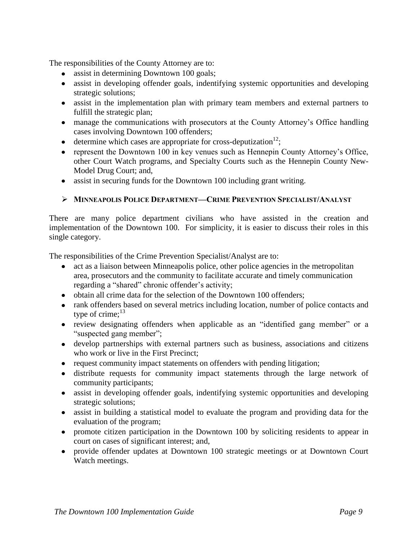The responsibilities of the County Attorney are to:

- assist in determining Downtown 100 goals;
- assist in developing offender goals, indentifying systemic opportunities and developing strategic solutions;
- assist in the implementation plan with primary team members and external partners to fulfill the strategic plan;
- manage the communications with prosecutors at the County Attorney's Office handling cases involving Downtown 100 offenders;
- determine which cases are appropriate for cross-deputization<sup>12</sup>;
- represent the Downtown 100 in key venues such as Hennepin County Attorney's Office, other Court Watch programs, and Specialty Courts such as the Hennepin County New-Model Drug Court; and,
- assist in securing funds for the Downtown 100 including grant writing.

## **MINNEAPOLIS POLICE DEPARTMENT—CRIME PREVENTION SPECIALIST/ANALYST**

There are many police department civilians who have assisted in the creation and implementation of the Downtown 100. For simplicity, it is easier to discuss their roles in this single category.

The responsibilities of the Crime Prevention Specialist/Analyst are to:

- act as a liaison between Minneapolis police, other police agencies in the metropolitan area, prosecutors and the community to facilitate accurate and timely communication regarding a "shared" chronic offender's activity;
- obtain all crime data for the selection of the Downtown 100 offenders;
- rank offenders based on several metrics including location, number of police contacts and type of crime;<sup>13</sup>
- review designating offenders when applicable as an "identified gang member" or a "suspected gang member";
- develop partnerships with external partners such as business, associations and citizens who work or live in the First Precinct;
- request community impact statements on offenders with pending litigation;
- distribute requests for community impact statements through the large network of community participants;
- assist in developing offender goals, indentifying systemic opportunities and developing strategic solutions;
- assist in building a statistical model to evaluate the program and providing data for the evaluation of the program;
- promote citizen participation in the Downtown 100 by soliciting residents to appear in court on cases of significant interest; and,
- provide offender updates at Downtown 100 strategic meetings or at Downtown Court Watch meetings.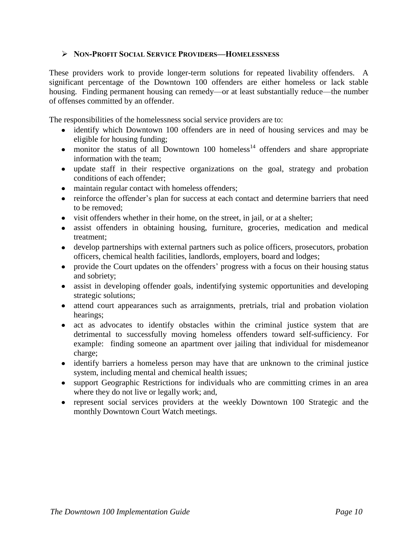## **NON-PROFIT SOCIAL SERVICE PROVIDERS—HOMELESSNESS**

These providers work to provide longer-term solutions for repeated livability offenders. A significant percentage of the Downtown 100 offenders are either homeless or lack stable housing. Finding permanent housing can remedy—or at least substantially reduce—the number of offenses committed by an offender.

The responsibilities of the homelessness social service providers are to:

- identify which Downtown 100 offenders are in need of housing services and may be eligible for housing funding;
- monitor the status of all Downtown 100 homeless<sup>14</sup> offenders and share appropriate information with the team;
- update staff in their respective organizations on the goal, strategy and probation conditions of each offender;
- maintain regular contact with homeless offenders;
- reinforce the offender's plan for success at each contact and determine barriers that need to be removed;
- visit offenders whether in their home, on the street, in jail, or at a shelter;
- assist offenders in obtaining housing, furniture, groceries, medication and medical treatment;
- develop partnerships with external partners such as police officers, prosecutors, probation officers, chemical health facilities, landlords, employers, board and lodges;
- provide the Court updates on the offenders' progress with a focus on their housing status and sobriety;
- assist in developing offender goals, indentifying systemic opportunities and developing strategic solutions;
- attend court appearances such as arraignments, pretrials, trial and probation violation hearings;
- act as advocates to identify obstacles within the criminal justice system that are detrimental to successfully moving homeless offenders toward self-sufficiency. For example: finding someone an apartment over jailing that individual for misdemeanor charge;
- identify barriers a homeless person may have that are unknown to the criminal justice system, including mental and chemical health issues;
- support Geographic Restrictions for individuals who are committing crimes in an area where they do not live or legally work; and,
- represent social services providers at the weekly Downtown 100 Strategic and the monthly Downtown Court Watch meetings.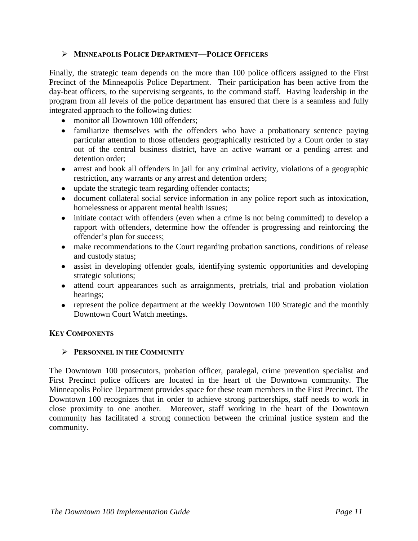## **MINNEAPOLIS POLICE DEPARTMENT—POLICE OFFICERS**

Finally, the strategic team depends on the more than 100 police officers assigned to the First Precinct of the Minneapolis Police Department. Their participation has been active from the day-beat officers, to the supervising sergeants, to the command staff. Having leadership in the program from all levels of the police department has ensured that there is a seamless and fully integrated approach to the following duties:

- monitor all Downtown 100 offenders;
- familiarize themselves with the offenders who have a probationary sentence paying particular attention to those offenders geographically restricted by a Court order to stay out of the central business district, have an active warrant or a pending arrest and detention order;
- arrest and book all offenders in jail for any criminal activity, violations of a geographic restriction, any warrants or any arrest and detention orders;
- update the strategic team regarding offender contacts;
- document collateral social service information in any police report such as intoxication, homelessness or apparent mental health issues;
- initiate contact with offenders (even when a crime is not being committed) to develop a rapport with offenders, determine how the offender is progressing and reinforcing the offender's plan for success;
- make recommendations to the Court regarding probation sanctions, conditions of release and custody status;
- assist in developing offender goals, identifying systemic opportunities and developing strategic solutions;
- attend court appearances such as arraignments, pretrials, trial and probation violation hearings;
- represent the police department at the weekly Downtown 100 Strategic and the monthly Downtown Court Watch meetings.

#### **KEY COMPONENTS**

#### **PERSONNEL IN THE COMMUNITY**

The Downtown 100 prosecutors, probation officer, paralegal, crime prevention specialist and First Precinct police officers are located in the heart of the Downtown community. The Minneapolis Police Department provides space for these team members in the First Precinct. The Downtown 100 recognizes that in order to achieve strong partnerships, staff needs to work in close proximity to one another. Moreover, staff working in the heart of the Downtown community has facilitated a strong connection between the criminal justice system and the community.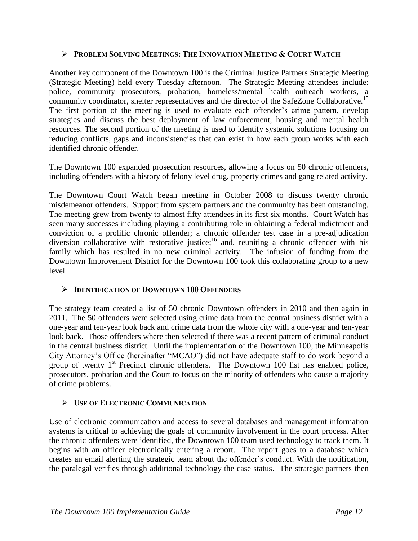## **PROBLEM SOLVING MEETINGS: THE INNOVATION MEETING & COURT WATCH**

Another key component of the Downtown 100 is the Criminal Justice Partners Strategic Meeting (Strategic Meeting) held every Tuesday afternoon. The Strategic Meeting attendees include: police, community prosecutors, probation, homeless/mental health outreach workers, a community coordinator, shelter representatives and the director of the SafeZone Collaborative.<sup>15</sup> The first portion of the meeting is used to evaluate each offender's crime pattern, develop strategies and discuss the best deployment of law enforcement, housing and mental health resources. The second portion of the meeting is used to identify systemic solutions focusing on reducing conflicts, gaps and inconsistencies that can exist in how each group works with each identified chronic offender.

The Downtown 100 expanded prosecution resources, allowing a focus on 50 chronic offenders, including offenders with a history of felony level drug, property crimes and gang related activity.

The Downtown Court Watch began meeting in October 2008 to discuss twenty chronic misdemeanor offenders. Support from system partners and the community has been outstanding. The meeting grew from twenty to almost fifty attendees in its first six months. Court Watch has seen many successes including playing a contributing role in obtaining a federal indictment and conviction of a prolific chronic offender; a chronic offender test case in a pre-adjudication diversion collaborative with restorative justice;<sup>16</sup> and, reuniting a chronic offender with his family which has resulted in no new criminal activity. The infusion of funding from the Downtown Improvement District for the Downtown 100 took this collaborating group to a new level.

# **IDENTIFICATION OF DOWNTOWN 100 OFFENDERS**

The strategy team created a list of 50 chronic Downtown offenders in 2010 and then again in 2011. The 50 offenders were selected using crime data from the central business district with a one-year and ten-year look back and crime data from the whole city with a one-year and ten-year look back. Those offenders where then selected if there was a recent pattern of criminal conduct in the central business district. Until the implementation of the Downtown 100, the Minneapolis City Attorney's Office (hereinafter "MCAO") did not have adequate staff to do work beyond a group of twenty  $1<sup>st</sup>$  Precinct chronic offenders. The Downtown 100 list has enabled police, prosecutors, probation and the Court to focus on the minority of offenders who cause a majority of crime problems.

#### **USE OF ELECTRONIC COMMUNICATION**

Use of electronic communication and access to several databases and management information systems is critical to achieving the goals of community involvement in the court process. After the chronic offenders were identified, the Downtown 100 team used technology to track them. It begins with an officer electronically entering a report. The report goes to a database which creates an email alerting the strategic team about the offender's conduct. With the notification, the paralegal verifies through additional technology the case status. The strategic partners then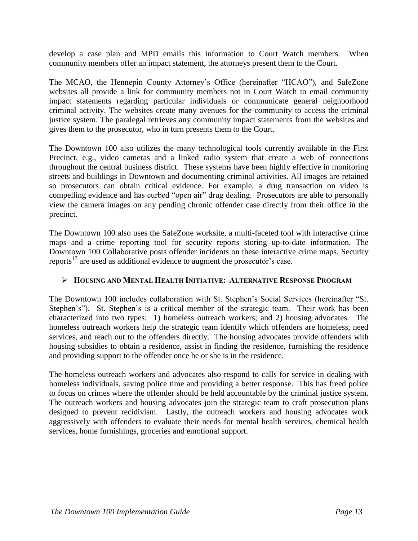develop a case plan and MPD emails this information to Court Watch members. When community members offer an impact statement, the attorneys present them to the Court.

The MCAO, the Hennepin County Attorney's Office (hereinafter "HCAO"), and SafeZone websites all provide a link for community members not in Court Watch to email community impact statements regarding particular individuals or communicate general neighborhood criminal activity. The websites create many avenues for the community to access the criminal justice system. The paralegal retrieves any community impact statements from the websites and gives them to the prosecutor, who in turn presents them to the Court.

The Downtown 100 also utilizes the many technological tools currently available in the First Precinct, e.g., video cameras and a linked radio system that create a web of connections throughout the central business district. These systems have been highly effective in monitoring streets and buildings in Downtown and documenting criminal activities. All images are retained so prosecutors can obtain critical evidence. For example, a drug transaction on video is compelling evidence and has curbed "open air" drug dealing. Prosecutors are able to personally view the camera images on any pending chronic offender case directly from their office in the precinct.

The Downtown 100 also uses the SafeZone worksite, a multi-faceted tool with interactive crime maps and a crime reporting tool for security reports storing up-to-date information. The Downtown 100 Collaborative posts offender incidents on these interactive crime maps. Security reports<sup>17</sup> are used as additional evidence to augment the prosecutor's case.

# **HOUSING AND MENTAL HEALTH INITIATIVE: ALTERNATIVE RESPONSE PROGRAM**

The Downtown 100 includes collaboration with St. Stephen's Social Services (hereinafter "St. Stephen's"). St. Stephen's is a critical member of the strategic team. Their work has been characterized into two types: 1) homeless outreach workers; and 2) housing advocates. The homeless outreach workers help the strategic team identify which offenders are homeless, need services, and reach out to the offenders directly. The housing advocates provide offenders with housing subsidies to obtain a residence, assist in finding the residence, furnishing the residence and providing support to the offender once he or she is in the residence.

The homeless outreach workers and advocates also respond to calls for service in dealing with homeless individuals, saving police time and providing a better response. This has freed police to focus on crimes where the offender should be held accountable by the criminal justice system. The outreach workers and housing advocates join the strategic team to craft prosecution plans designed to prevent recidivism. Lastly, the outreach workers and housing advocates work aggressively with offenders to evaluate their needs for mental health services, chemical health services, home furnishings, groceries and emotional support.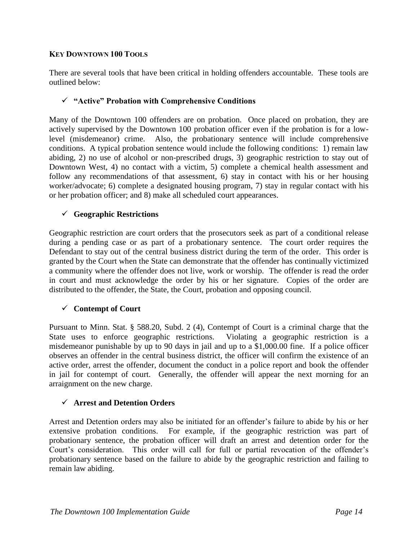## **KEY DOWNTOWN 100 TOOLS**

There are several tools that have been critical in holding offenders accountable. These tools are outlined below:

## **"Active" Probation with Comprehensive Conditions**

Many of the Downtown 100 offenders are on probation. Once placed on probation, they are actively supervised by the Downtown 100 probation officer even if the probation is for a lowlevel (misdemeanor) crime. Also, the probationary sentence will include comprehensive conditions. A typical probation sentence would include the following conditions: 1) remain law abiding, 2) no use of alcohol or non-prescribed drugs, 3) geographic restriction to stay out of Downtown West, 4) no contact with a victim, 5) complete a chemical health assessment and follow any recommendations of that assessment, 6) stay in contact with his or her housing worker/advocate; 6) complete a designated housing program, 7) stay in regular contact with his or her probation officer; and 8) make all scheduled court appearances.

## **Geographic Restrictions**

Geographic restriction are court orders that the prosecutors seek as part of a conditional release during a pending case or as part of a probationary sentence. The court order requires the Defendant to stay out of the central business district during the term of the order. This order is granted by the Court when the State can demonstrate that the offender has continually victimized a community where the offender does not live, work or worship. The offender is read the order in court and must acknowledge the order by his or her signature. Copies of the order are distributed to the offender, the State, the Court, probation and opposing council.

# **Contempt of Court**

Pursuant to Minn. Stat. § 588.20, Subd. 2 (4), Contempt of Court is a criminal charge that the State uses to enforce geographic restrictions. Violating a geographic restriction is a misdemeanor punishable by up to 90 days in jail and up to a \$1,000.00 fine. If a police officer observes an offender in the central business district, the officer will confirm the existence of an active order, arrest the offender, document the conduct in a police report and book the offender in jail for contempt of court. Generally, the offender will appear the next morning for an arraignment on the new charge.

#### **Arrest and Detention Orders**

Arrest and Detention orders may also be initiated for an offender's failure to abide by his or her extensive probation conditions. For example, if the geographic restriction was part of probationary sentence, the probation officer will draft an arrest and detention order for the Court's consideration. This order will call for full or partial revocation of the offender's probationary sentence based on the failure to abide by the geographic restriction and failing to remain law abiding.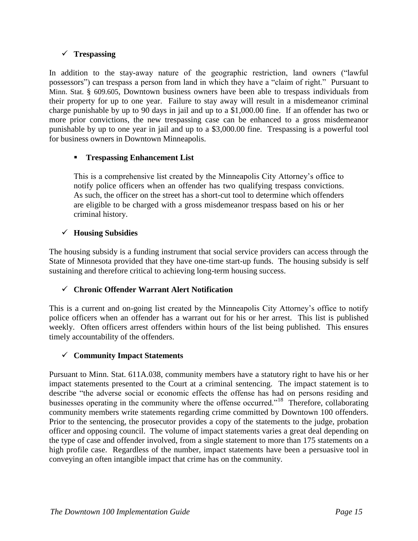# **Trespassing**

In addition to the stay-away nature of the geographic restriction, land owners ("lawful possessors") can trespass a person from land in which they have a "claim of right." Pursuant to Minn. Stat. § 609.605, Downtown business owners have been able to trespass individuals from their property for up to one year. Failure to stay away will result in a misdemeanor criminal charge punishable by up to 90 days in jail and up to a \$1,000.00 fine. If an offender has two or more prior convictions, the new trespassing case can be enhanced to a gross misdemeanor punishable by up to one year in jail and up to a \$3,000.00 fine. Trespassing is a powerful tool for business owners in Downtown Minneapolis.

# **Trespassing Enhancement List**

This is a comprehensive list created by the Minneapolis City Attorney's office to notify police officers when an offender has two qualifying trespass convictions. As such, the officer on the street has a short-cut tool to determine which offenders are eligible to be charged with a gross misdemeanor trespass based on his or her criminal history.

# **Housing Subsidies**

The housing subsidy is a funding instrument that social service providers can access through the State of Minnesota provided that they have one-time start-up funds. The housing subsidy is self sustaining and therefore critical to achieving long-term housing success.

# **Chronic Offender Warrant Alert Notification**

This is a current and on-going list created by the Minneapolis City Attorney's office to notify police officers when an offender has a warrant out for his or her arrest. This list is published weekly. Often officers arrest offenders within hours of the list being published. This ensures timely accountability of the offenders.

# **Community Impact Statements**

Pursuant to Minn. Stat. 611A.038, community members have a statutory right to have his or her impact statements presented to the Court at a criminal sentencing. The impact statement is to describe "the adverse social or economic effects the offense has had on persons residing and businesses operating in the community where the offense occurred."<sup>18</sup> Therefore, collaborating community members write statements regarding crime committed by Downtown 100 offenders. Prior to the sentencing, the prosecutor provides a copy of the statements to the judge, probation officer and opposing council. The volume of impact statements varies a great deal depending on the type of case and offender involved, from a single statement to more than 175 statements on a high profile case. Regardless of the number, impact statements have been a persuasive tool in conveying an often intangible impact that crime has on the community.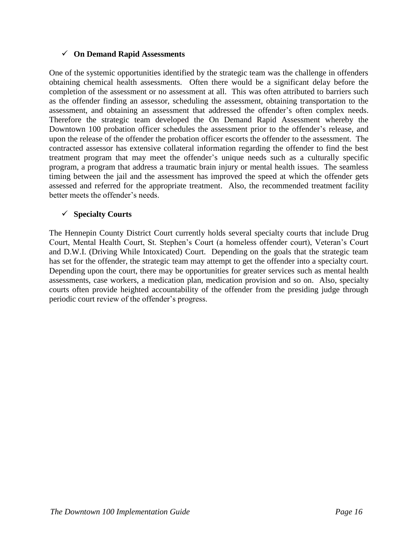## **On Demand Rapid Assessments**

One of the systemic opportunities identified by the strategic team was the challenge in offenders obtaining chemical health assessments. Often there would be a significant delay before the completion of the assessment or no assessment at all. This was often attributed to barriers such as the offender finding an assessor, scheduling the assessment, obtaining transportation to the assessment, and obtaining an assessment that addressed the offender's often complex needs. Therefore the strategic team developed the On Demand Rapid Assessment whereby the Downtown 100 probation officer schedules the assessment prior to the offender's release, and upon the release of the offender the probation officer escorts the offender to the assessment. The contracted assessor has extensive collateral information regarding the offender to find the best treatment program that may meet the offender's unique needs such as a culturally specific program, a program that address a traumatic brain injury or mental health issues. The seamless timing between the jail and the assessment has improved the speed at which the offender gets assessed and referred for the appropriate treatment. Also, the recommended treatment facility better meets the offender's needs.

## **Specialty Courts**

The Hennepin County District Court currently holds several specialty courts that include Drug Court, Mental Health Court, St. Stephen's Court (a homeless offender court), Veteran's Court and D.W.I. (Driving While Intoxicated) Court. Depending on the goals that the strategic team has set for the offender, the strategic team may attempt to get the offender into a specialty court. Depending upon the court, there may be opportunities for greater services such as mental health assessments, case workers, a medication plan, medication provision and so on. Also, specialty courts often provide heighted accountability of the offender from the presiding judge through periodic court review of the offender's progress.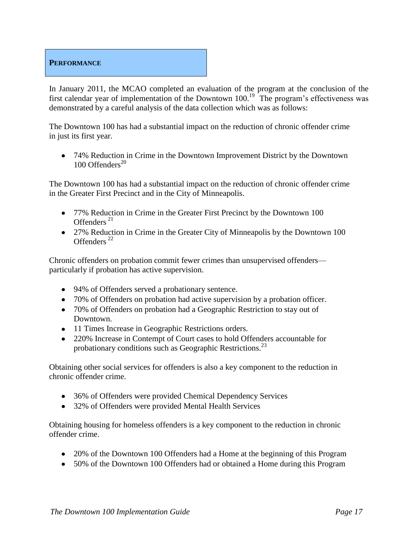# **PERFORMANCE**

In January 2011, the MCAO completed an evaluation of the program at the conclusion of the first calendar year of implementation of the Downtown  $100$ .<sup>19</sup> The program's effectiveness was demonstrated by a careful analysis of the data collection which was as follows:

The Downtown 100 has had a substantial impact on the reduction of chronic offender crime in just its first year.

74% Reduction in Crime in the Downtown Improvement District by the Downtown 100 Offenders $^{20}$ 

The Downtown 100 has had a substantial impact on the reduction of chronic offender crime in the Greater First Precinct and in the City of Minneapolis.

- 77% Reduction in Crime in the Greater First Precinct by the Downtown 100 Offenders<sup>21</sup>
- 27% Reduction in Crime in the Greater City of Minneapolis by the Downtown 100 Offenders<sup>22</sup>

Chronic offenders on probation commit fewer crimes than unsupervised offenders particularly if probation has active supervision.

- 94% of Offenders served a probationary sentence.
- 70% of Offenders on probation had active supervision by a probation officer.
- 70% of Offenders on probation had a Geographic Restriction to stay out of Downtown.
- 11 Times Increase in Geographic Restrictions orders.
- 220% Increase in Contempt of Court cases to hold Offenders accountable for probationary conditions such as Geographic Restrictions.<sup>23</sup>

Obtaining other social services for offenders is also a key component to the reduction in chronic offender crime.

- 36% of Offenders were provided Chemical Dependency Services
- 32% of Offenders were provided Mental Health Services

Obtaining housing for homeless offenders is a key component to the reduction in chronic offender crime.

- 20% of the Downtown 100 Offenders had a Home at the beginning of this Program
- 50% of the Downtown 100 Offenders had or obtained a Home during this Program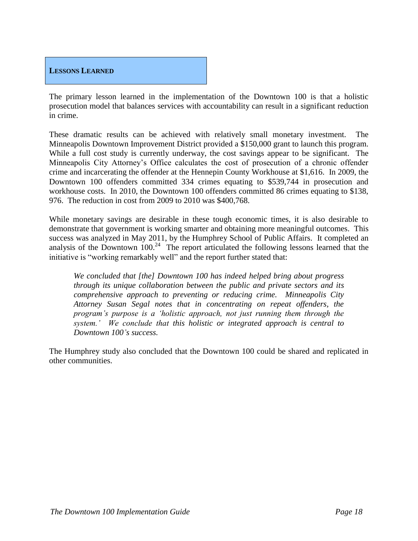

The primary lesson learned in the implementation of the Downtown 100 is that a holistic prosecution model that balances services with accountability can result in a significant reduction in crime.

These dramatic results can be achieved with relatively small monetary investment. The Minneapolis Downtown Improvement District provided a \$150,000 grant to launch this program. While a full cost study is currently underway, the cost savings appear to be significant. The Minneapolis City Attorney's Office calculates the cost of prosecution of a chronic offender crime and incarcerating the offender at the Hennepin County Workhouse at \$1,616. In 2009, the Downtown 100 offenders committed 334 crimes equating to \$539,744 in prosecution and workhouse costs. In 2010, the Downtown 100 offenders committed 86 crimes equating to \$138, 976. The reduction in cost from 2009 to 2010 was \$400,768.

While monetary savings are desirable in these tough economic times, it is also desirable to demonstrate that government is working smarter and obtaining more meaningful outcomes. This success was analyzed in May 2011, by the Humphrey School of Public Affairs. It completed an analysis of the Downtown  $100.<sup>24</sup>$  The report articulated the following lessons learned that the initiative is "working remarkably well" and the report further stated that:

*We concluded that [the] Downtown 100 has indeed helped bring about progress through its unique collaboration between the public and private sectors and its comprehensive approach to preventing or reducing crime. Minneapolis City Attorney Susan Segal notes that in concentrating on repeat offenders, the program's purpose is a 'holistic approach, not just running them through the system.' We conclude that this holistic or integrated approach is central to Downtown 100's success.* 

The Humphrey study also concluded that the Downtown 100 could be shared and replicated in other communities.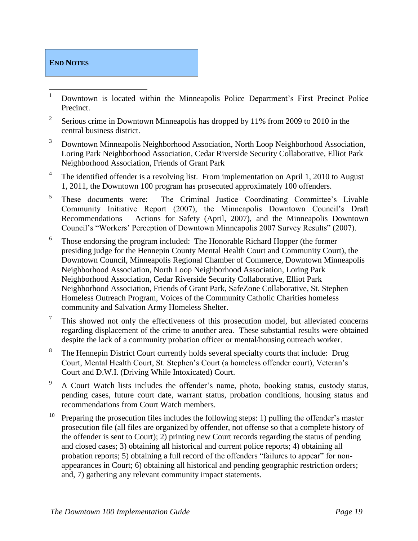# **END NOTES**

- $\mathbf{1}$ <sup>1</sup> Downtown is located within the Minneapolis Police Department's First Precinct Police Precinct.
- 2 Serious crime in Downtown Minneapolis has dropped by 11% from 2009 to 2010 in the central business district.
- <sup>3</sup> Downtown Minneapolis Neighborhood Association, North Loop Neighborhood Association, Loring Park Neighborhood Association, Cedar Riverside Security Collaborative, Elliot Park Neighborhood Association, Friends of Grant Park
- 4 The identified offender is a revolving list. From implementation on April 1, 2010 to August 1, 2011, the Downtown 100 program has prosecuted approximately 100 offenders.
- 5 These documents were: The Criminal Justice Coordinating Committee's Livable Community Initiative Report (2007), the Minneapolis Downtown Council's Draft Recommendations – Actions for Safety (April, 2007), and the Minneapolis Downtown Council's "Workers' Perception of Downtown Minneapolis 2007 Survey Results" (2007).
- 6 Those endorsing the program included: The Honorable Richard Hopper (the former presiding judge for the Hennepin County Mental Health Court and Community Court), the Downtown Council, Minneapolis Regional Chamber of Commerce, Downtown Minneapolis Neighborhood Association, North Loop Neighborhood Association, Loring Park Neighborhood Association, Cedar Riverside Security Collaborative, Elliot Park Neighborhood Association, Friends of Grant Park, SafeZone Collaborative, St. Stephen Homeless Outreach Program, Voices of the Community Catholic Charities homeless community and Salvation Army Homeless Shelter.
- 7 This showed not only the effectiveness of this prosecution model, but alleviated concerns regarding displacement of the crime to another area. These substantial results were obtained despite the lack of a community probation officer or mental/housing outreach worker.
- 8 The Hennepin District Court currently holds several specialty courts that include: Drug Court, Mental Health Court, St. Stephen's Court (a homeless offender court), Veteran's Court and D.W.I. (Driving While Intoxicated) Court.
- <sup>9</sup> A Court Watch lists includes the offender's name, photo, booking status, custody status, pending cases, future court date, warrant status, probation conditions, housing status and recommendations from Court Watch members.
- <sup>10</sup> Preparing the prosecution files includes the following steps: 1) pulling the offender's master prosecution file (all files are organized by offender, not offense so that a complete history of the offender is sent to Court); 2) printing new Court records regarding the status of pending and closed cases; 3) obtaining all historical and current police reports; 4) obtaining all probation reports; 5) obtaining a full record of the offenders "failures to appear" for nonappearances in Court; 6) obtaining all historical and pending geographic restriction orders; and, 7) gathering any relevant community impact statements.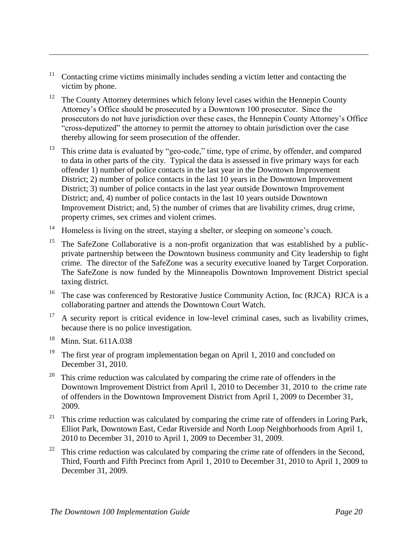- <sup>11</sup> Contacting crime victims minimally includes sending a victim letter and contacting the victim by phone.
- $12$  The County Attorney determines which felony level cases within the Hennepin County Attorney's Office should be prosecuted by a Downtown 100 prosecutor. Since the prosecutors do not have jurisdiction over these cases, the Hennepin County Attorney's Office "cross-deputized" the attorney to permit the attorney to obtain jurisdiction over the case thereby allowing for seem prosecution of the offender.
- <sup>13</sup> This crime data is evaluated by "geo-code," time, type of crime, by offender, and compared to data in other parts of the city. Typical the data is assessed in five primary ways for each offender 1) number of police contacts in the last year in the Downtown Improvement District; 2) number of police contacts in the last 10 years in the Downtown Improvement District; 3) number of police contacts in the last year outside Downtown Improvement District; and, 4) number of police contacts in the last 10 years outside Downtown Improvement District; and, 5) the number of crimes that are livability crimes, drug crime, property crimes, sex crimes and violent crimes.
- <sup>14</sup> Homeless is living on the street, staying a shelter, or sleeping on someone's couch.
- The SafeZone Collaborative is a non-profit organization that was established by a publicprivate partnership between the Downtown business community and City leadership to fight crime. The director of the SafeZone was a security executive loaned by Target Corporation. The SafeZone is now funded by the Minneapolis Downtown Improvement District special taxing district.
- <sup>16</sup> The case was conferenced by Restorative Justice Community Action, Inc (RJCA) RJCA is a collaborating partner and attends the Downtown Court Watch.
- $17$  A security report is critical evidence in low-level criminal cases, such as livability crimes, because there is no police investigation.
- 18 Minn. Stat. 611A.038

 $\overline{a}$ 

- <sup>19</sup> The first year of program implementation began on April 1, 2010 and concluded on December 31, 2010.
- 20 This crime reduction was calculated by comparing the crime rate of offenders in the Downtown Improvement District from April 1, 2010 to December 31, 2010 to the crime rate of offenders in the Downtown Improvement District from April 1, 2009 to December 31, 2009.
- <sup>21</sup> This crime reduction was calculated by comparing the crime rate of offenders in Loring Park, Elliot Park, Downtown East, Cedar Riverside and North Loop Neighborhoods from April 1, 2010 to December 31, 2010 to April 1, 2009 to December 31, 2009.
- $22$  This crime reduction was calculated by comparing the crime rate of offenders in the Second, Third, Fourth and Fifth Precinct from April 1, 2010 to December 31, 2010 to April 1, 2009 to December 31, 2009.